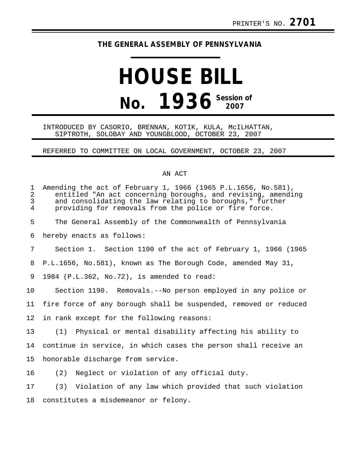## **THE GENERAL ASSEMBLY OF PENNSYLVANIA**

# **HOUSE BILL No. 1936 Session of**

#### INTRODUCED BY CASORIO, BRENNAN, KOTIK, KULA, McILHATTAN, SIPTROTH, SOLOBAY AND YOUNGBLOOD, OCTOBER 23, 2007

### REFERRED TO COMMITTEE ON LOCAL GOVERNMENT, OCTOBER 23, 2007

#### AN ACT

| $\mathbf 1$<br>$\overline{2}$<br>3<br>$\overline{4}$ | Amending the act of February 1, 1966 (1965 P.L.1656, No.581),<br>entitled "An act concerning boroughs, and revising, amending<br>and consolidating the law relating to boroughs," further<br>providing for removals from the police or fire force. |
|------------------------------------------------------|----------------------------------------------------------------------------------------------------------------------------------------------------------------------------------------------------------------------------------------------------|
| 5                                                    | The General Assembly of the Commonwealth of Pennsylvania                                                                                                                                                                                           |
| 6                                                    | hereby enacts as follows:                                                                                                                                                                                                                          |
| 7                                                    | Section 1. Section 1190 of the act of February 1, 1966 (1965                                                                                                                                                                                       |
| 8                                                    | P.L.1656, No.581), known as The Borough Code, amended May 31,                                                                                                                                                                                      |
| 9                                                    | 1984 (P.L.362, No.72), is amended to read:                                                                                                                                                                                                         |
| 10                                                   | Section 1190. Removals.--No person employed in any police or                                                                                                                                                                                       |
| 11                                                   | fire force of any borough shall be suspended, removed or reduced                                                                                                                                                                                   |
| 12                                                   | in rank except for the following reasons:                                                                                                                                                                                                          |
| 13                                                   | (1) Physical or mental disability affecting his ability to                                                                                                                                                                                         |
| 14                                                   | continue in service, in which cases the person shall receive an                                                                                                                                                                                    |
| 15                                                   | honorable discharge from service.                                                                                                                                                                                                                  |
| 16                                                   | Neglect or violation of any official duty.<br>(2)                                                                                                                                                                                                  |
| 17                                                   | (3) Violation of any law which provided that such violation                                                                                                                                                                                        |
| 18                                                   | constitutes a misdemeanor or felony.                                                                                                                                                                                                               |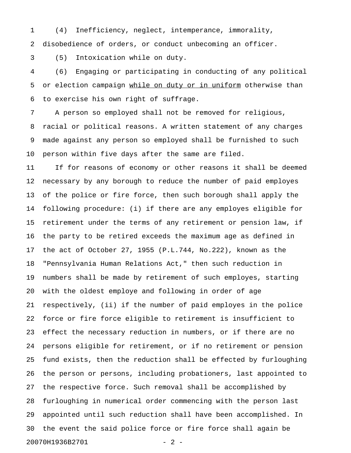1 (4) Inefficiency, neglect, intemperance, immorality,

2 disobedience of orders, or conduct unbecoming an officer.

3 (5) Intoxication while on duty.

4 (6) Engaging or participating in conducting of any political 5 or election campaign while on duty or in uniform otherwise than 6 to exercise his own right of suffrage.

7 A person so employed shall not be removed for religious, 8 racial or political reasons. A written statement of any charges 9 made against any person so employed shall be furnished to such 10 person within five days after the same are filed.

11 If for reasons of economy or other reasons it shall be deemed 12 necessary by any borough to reduce the number of paid employes 13 of the police or fire force, then such borough shall apply the 14 following procedure: (i) if there are any employes eligible for 15 retirement under the terms of any retirement or pension law, if 16 the party to be retired exceeds the maximum age as defined in 17 the act of October 27, 1955 (P.L.744, No.222), known as the 18 "Pennsylvania Human Relations Act," then such reduction in 19 numbers shall be made by retirement of such employes, starting 20 with the oldest employe and following in order of age 21 respectively, (ii) if the number of paid employes in the police 22 force or fire force eligible to retirement is insufficient to 23 effect the necessary reduction in numbers, or if there are no 24 persons eligible for retirement, or if no retirement or pension 25 fund exists, then the reduction shall be effected by furloughing 26 the person or persons, including probationers, last appointed to 27 the respective force. Such removal shall be accomplished by 28 furloughing in numerical order commencing with the person last 29 appointed until such reduction shall have been accomplished. In 30 the event the said police force or fire force shall again be 20070H1936B2701 - 2 -